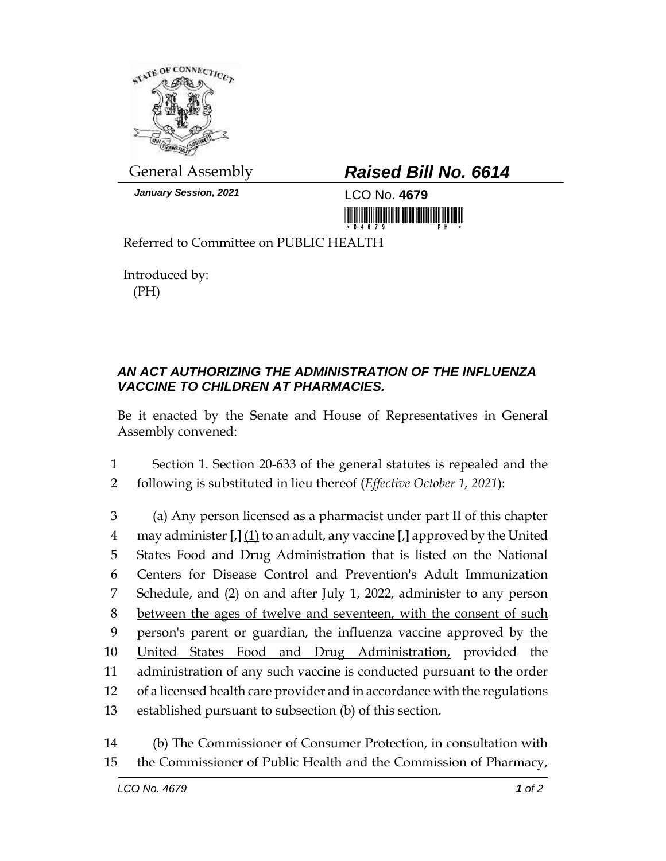

*January Session, 2021* LCO No. **4679**

## General Assembly *Raised Bill No. 6614*

Referred to Committee on PUBLIC HEALTH

Introduced by: (PH)

## *AN ACT AUTHORIZING THE ADMINISTRATION OF THE INFLUENZA VACCINE TO CHILDREN AT PHARMACIES.*

Be it enacted by the Senate and House of Representatives in General Assembly convened:

1 Section 1. Section 20-633 of the general statutes is repealed and the 2 following is substituted in lieu thereof (*Effective October 1, 2021*):

 (a) Any person licensed as a pharmacist under part II of this chapter may administer **[**,**]** (1) to an adult, any vaccine **[**,**]** approved by the United States Food and Drug Administration that is listed on the National Centers for Disease Control and Prevention's Adult Immunization Schedule, and (2) on and after July 1, 2022, administer to any person 8 between the ages of twelve and seventeen, with the consent of such person's parent or guardian, the influenza vaccine approved by the United States Food and Drug Administration, provided the administration of any such vaccine is conducted pursuant to the order of a licensed health care provider and in accordance with the regulations established pursuant to subsection (b) of this section.

14 (b) The Commissioner of Consumer Protection, in consultation with 15 the Commissioner of Public Health and the Commission of Pharmacy,